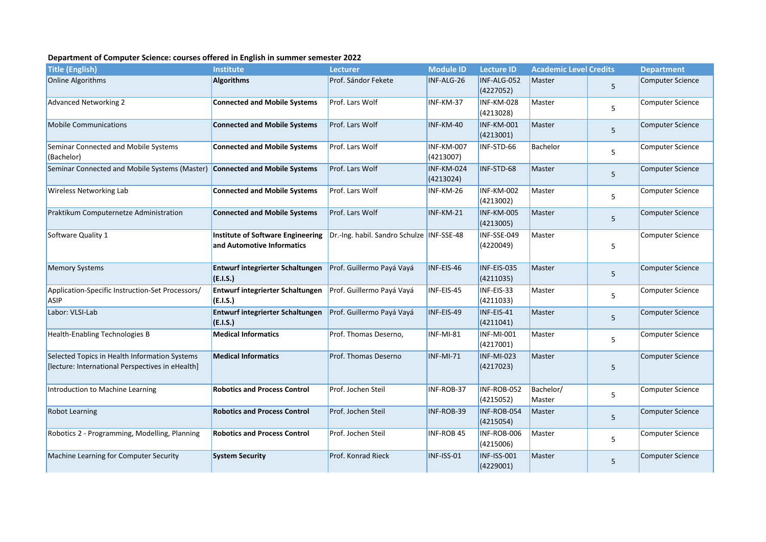## **Department of Computer Science: courses offered in English in summer semester 2022**

| <b>Title (English)</b>                                                                            | <b>Institute</b>                                                | <b>Lecturer</b>                             | <b>Module ID</b>        | <b>Lecture ID</b>               | <b>Academic Level Credits</b> |   | <b>Department</b>       |
|---------------------------------------------------------------------------------------------------|-----------------------------------------------------------------|---------------------------------------------|-------------------------|---------------------------------|-------------------------------|---|-------------------------|
| Online Algorithms                                                                                 | <b>Algorithms</b>                                               | Prof. Sándor Fekete                         | INF-ALG-26              | INF-ALG-052<br>(4227052)        | Master                        | 5 | <b>Computer Science</b> |
| <b>Advanced Networking 2</b>                                                                      | <b>Connected and Mobile Systems</b>                             | Prof. Lars Wolf                             | INF-KM-37               | INF-KM-028<br>(4213028)         | Master                        | 5 | <b>Computer Science</b> |
| <b>Mobile Communications</b>                                                                      | <b>Connected and Mobile Systems</b>                             | Prof. Lars Wolf                             | INF-KM-40               | INF-KM-001<br>(4213001)         | <b>Master</b>                 | 5 | <b>Computer Science</b> |
| Seminar Connected and Mobile Systems<br>(Bachelor)                                                | <b>Connected and Mobile Systems</b>                             | Prof. Lars Wolf                             | INF-KM-007<br>(4213007) | INF-STD-66                      | <b>Bachelor</b>               | 5 | <b>Computer Science</b> |
| Seminar Connected and Mobile Systems (Master)                                                     | <b>Connected and Mobile Systems</b>                             | Prof. Lars Wolf                             | INF-KM-024<br>(4213024) | INF-STD-68                      | Master                        | 5 | <b>Computer Science</b> |
| Wireless Networking Lab                                                                           | <b>Connected and Mobile Systems</b>                             | Prof. Lars Wolf                             | INF-KM-26               | INF-KM-002<br>(4213002)         | Master                        | 5 | <b>Computer Science</b> |
| Praktikum Computernetze Administration                                                            | <b>Connected and Mobile Systems</b>                             | Prof. Lars Wolf                             | INF-KM-21               | INF-KM-005<br>(4213005)         | Master                        | 5 | <b>Computer Science</b> |
| Software Quality 1                                                                                | Institute of Software Engineering<br>and Automotive Informatics | Dr.-Ing. habil. Sandro Schulze   INF-SSE-48 |                         | INF-SSE-049<br>(4220049)        | Master                        | 5 | <b>Computer Science</b> |
| <b>Memory Systems</b>                                                                             | Entwurf integrierter Schaltungen<br>(E.I.S.)                    | Prof. Guillermo Payá Vayá                   | INF-EIS-46              | INF-EIS-035<br>(4211035)        | Master                        | 5 | <b>Computer Science</b> |
| Application-Specific Instruction-Set Processors/<br>ASIP                                          | <b>Entwurf integrierter Schaltungen</b><br>(E.I.S.)             | Prof. Guillermo Payá Vayá                   | INF-EIS-45              | INF-EIS-33<br>(4211033)         | Master                        | 5 | Computer Science        |
| Labor: VLSI-Lab                                                                                   | <b>Entwurf integrierter Schaltungen</b><br>(E.I.S.)             | Prof. Guillermo Payá Vayá                   | INF-EIS-49              | INF-EIS-41<br>(4211041)         | Master                        | 5 | <b>Computer Science</b> |
| Health-Enabling Technologies B                                                                    | <b>Medical Informatics</b>                                      | Prof. Thomas Deserno,                       | INF-MI-81               | <b>INF-MI-001</b><br>(4217001)  | Master                        | 5 | Computer Science        |
| Selected Topics in Health Information Systems<br>[lecture: International Perspectives in eHealth] | <b>Medical Informatics</b>                                      | Prof. Thomas Deserno                        | <b>INF-MI-71</b>        | <b>INF-MI-023</b><br>(4217023)  | Master                        | 5 | <b>Computer Science</b> |
| Introduction to Machine Learning                                                                  | <b>Robotics and Process Control</b>                             | Prof. Jochen Steil                          | INF-ROB-37              | INF-ROB-052<br>(4215052)        | Bachelor/<br>Master           | 5 | <b>Computer Science</b> |
| <b>Robot Learning</b>                                                                             | <b>Robotics and Process Control</b>                             | Prof. Jochen Steil                          | INF-ROB-39              | INF-ROB-054<br>(4215054)        | Master                        | 5 | <b>Computer Science</b> |
| Robotics 2 - Programming, Modelling, Planning                                                     | <b>Robotics and Process Control</b>                             | Prof. Jochen Steil                          | <b>INF-ROB 45</b>       | INF-ROB-006<br>(4215006)        | Master                        | 5 | <b>Computer Science</b> |
| Machine Learning for Computer Security                                                            | <b>System Security</b>                                          | Prof. Konrad Rieck                          | INF-ISS-01              | <b>INF-ISS-001</b><br>(4229001) | Master                        | 5 | <b>Computer Science</b> |